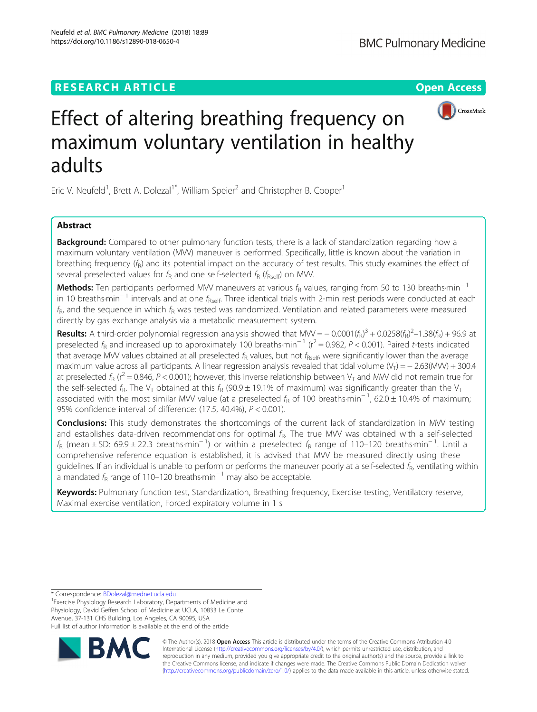# **RESEARCH ARTICLE Example 2014 12:30 The Open Access**

# Effect of altering breathing frequency on maximum voluntary ventilation in healthy adults

Eric V. Neufeld<sup>1</sup>, Brett A. Dolezal<sup>1\*</sup>, William Speier<sup>2</sup> and Christopher B. Cooper<sup>1</sup>

# Abstract

**Background:** Compared to other pulmonary function tests, there is a lack of standardization regarding how a maximum voluntary ventilation (MVV) maneuver is performed. Specifically, little is known about the variation in breathing frequency  $(f_R)$  and its potential impact on the accuracy of test results. This study examines the effect of several preselected values for  $f_R$  and one self-selected  $f_R$  ( $f_{R\text{self}}$ ) on MW.

Methods: Ten participants performed MVV maneuvers at various  $f_R$  values, ranging from 50 to 130 breaths·min<sup>−1</sup> in 10 breaths·min<sup>-1</sup> intervals and at one  $f_{\text{Rself}}$ . Three identical trials with 2-min rest periods were conducted at each  $f_R$ , and the sequence in which  $f_R$  was tested was randomized. Ventilation and related parameters were measured directly by gas exchange analysis via a metabolic measurement system.

**Results:** A third-order polynomial regression analysis showed that MW =  $-0.0001(f_R)^3 + 0.0258(f_R)^2 - 1.38(f_R) + 96.9$  at preselected  $f_R$  and increased up to approximately 100 breaths·min<sup>-1</sup> ( $r^2$  = 0.982, P < 0.001). Paired t-tests indicated that average MVV values obtained at all preselected  $f_R$  values, but not  $f_{Rself}$ , were significantly lower than the average maximum value across all participants. A linear regression analysis revealed that tidal volume (V<sub>T</sub>) = − 2.63(MVV) + 300.4 at preselected  $f_R$  ( $r^2$  = 0.846, P < 0.001); however, this inverse relationship between V<sub>T</sub> and MVV did not remain true for the self-selected  $f_R$ . The V<sub>T</sub> obtained at this  $f_R$  (90.9  $\pm$  19.1% of maximum) was significantly greater than the V<sub>T</sub> associated with the most similar MVV value (at a preselected  $f_R$  of 100 breaths·min<sup>-1</sup>, 62.0 ± 10.4% of maximum; 95% confidence interval of difference: (17.5, 40.4%), P < 0.001).

**Conclusions:** This study demonstrates the shortcomings of the current lack of standardization in MVV testing and establishes data-driven recommendations for optimal  $f<sub>R</sub>$ . The true MVV was obtained with a self-selected  $f_R$  (mean ± SD: 69.9 ± 22.3 breaths·min<sup>-1</sup>) or within a preselected  $f_R$  range of 110–120 breaths·min<sup>-1</sup>. Until a comprehensive reference equation is established, it is advised that MVV be measured directly using these quidelines. If an individual is unable to perform or performs the maneuver poorly at a self-selected  $f_R$ , ventilating within a mandated  $f<sub>R</sub>$  range of 110–120 breaths $\cdot$ min<sup>-1</sup> may also be acceptable.

Keywords: Pulmonary function test, Standardization, Breathing frequency, Exercise testing, Ventilatory reserve, Maximal exercise ventilation, Forced expiratory volume in 1 s

\* Correspondence: [BDolezal@mednet.ucla.edu](mailto:BDolezal@mednet.ucla.edu) <sup>1</sup>

<sup>1</sup> Exercise Physiology Research Laboratory, Departments of Medicine and Physiology, David Geffen School of Medicine at UCLA, 10833 Le Conte Avenue, 37-131 CHS Building, Los Angeles, CA 90095, USA Full list of author information is available at the end of the article



International License [\(http://creativecommons.org/licenses/by/4.0/](http://creativecommons.org/licenses/by/4.0/)), which permits unrestricted use, distribution, and reproduction in any medium, provided you give appropriate credit to the original author(s) and the source, provide a link to the Creative Commons license, and indicate if changes were made. The Creative Commons Public Domain Dedication waiver [\(http://creativecommons.org/publicdomain/zero/1.0/](http://creativecommons.org/publicdomain/zero/1.0/)) applies to the data made available in this article, unless otherwise stated.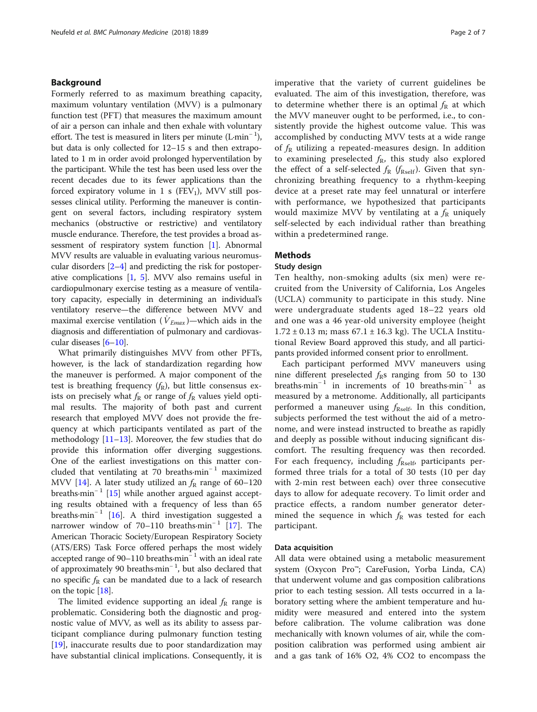# Background

Formerly referred to as maximum breathing capacity, maximum voluntary ventilation (MVV) is a pulmonary function test (PFT) that measures the maximum amount of air a person can inhale and then exhale with voluntary effort. The test is measured in liters per minute  $(L \cdot \text{min}^{-1})$ , but data is only collected for 12–15 s and then extrapolated to 1 m in order avoid prolonged hyperventilation by the participant. While the test has been used less over the recent decades due to its fewer applications than the forced expiratory volume in 1 s ( $FEV<sub>1</sub>$ ), MVV still possesses clinical utility. Performing the maneuver is contingent on several factors, including respiratory system mechanics (obstructive or restrictive) and ventilatory muscle endurance. Therefore, the test provides a broad assessment of respiratory system function [\[1](#page-5-0)]. Abnormal MVV results are valuable in evaluating various neuromuscular disorders [\[2](#page-5-0)–[4\]](#page-5-0) and predicting the risk for postoperative complications [[1,](#page-5-0) [5](#page-5-0)]. MVV also remains useful in cardiopulmonary exercise testing as a measure of ventilatory capacity, especially in determining an individual's ventilatory reserve—the difference between MVV and maximal exercise ventilation ( $\dot{V}_{Emax}$ )—which aids in the diagnosis and differentiation of pulmonary and cardiovascular diseases [[6](#page-5-0)–[10\]](#page-5-0).

What primarily distinguishes MVV from other PFTs, however, is the lack of standardization regarding how the maneuver is performed. A major component of the test is breathing frequency  $(f_R)$ , but little consensus exists on precisely what  $f_{\rm R}$  or range of  $f_{\rm R}$  values yield optimal results. The majority of both past and current research that employed MVV does not provide the frequency at which participants ventilated as part of the methodology [[11](#page-5-0)–[13](#page-5-0)]. Moreover, the few studies that do provide this information offer diverging suggestions. One of the earliest investigations on this matter concluded that ventilating at 70 breaths·min<sup>−</sup> <sup>1</sup> maximized MVV [\[14](#page-6-0)]. A later study utilized an  $f_R$  range of 60–120 breaths·min<sup>-1</sup> [[15\]](#page-6-0) while another argued against accepting results obtained with a frequency of less than 65 breaths·min<sup>-1</sup> [\[16](#page-6-0)]. A third investigation suggested a narrower window of 70–110 breaths·min<sup>-1</sup> [[17](#page-6-0)]. The American Thoracic Society/European Respiratory Society (ATS/ERS) Task Force offered perhaps the most widely accepted range of 90–110 breaths·min<sup>−</sup> <sup>1</sup> with an ideal rate of approximately 90 breaths·min<sup>−</sup> <sup>1</sup> , but also declared that no specific  $f_R$  can be mandated due to a lack of research on the topic [[18](#page-6-0)].

The limited evidence supporting an ideal  $f<sub>R</sub>$  range is problematic. Considering both the diagnostic and prognostic value of MVV, as well as its ability to assess participant compliance during pulmonary function testing [[19\]](#page-6-0), inaccurate results due to poor standardization may have substantial clinical implications. Consequently, it is imperative that the variety of current guidelines be evaluated. The aim of this investigation, therefore, was to determine whether there is an optimal  $f_R$  at which the MVV maneuver ought to be performed, i.e., to consistently provide the highest outcome value. This was accomplished by conducting MVV tests at a wide range of  $f_R$  utilizing a repeated-measures design. In addition to examining preselected  $f_{\rm R}$ , this study also explored the effect of a self-selected  $f_R$  ( $f_{\text{Rself}}$ ). Given that synchronizing breathing frequency to a rhythm-keeping device at a preset rate may feel unnatural or interfere with performance, we hypothesized that participants would maximize MVV by ventilating at a  $f_R$  uniquely self-selected by each individual rather than breathing within a predetermined range.

# Methods

# Study design

Ten healthy, non-smoking adults (six men) were recruited from the University of California, Los Angeles (UCLA) community to participate in this study. Nine were undergraduate students aged 18–22 years old and one was a 46 year-old university employee (height  $1.72 \pm 0.13$  m; mass  $67.1 \pm 16.3$  kg). The UCLA Institutional Review Board approved this study, and all participants provided informed consent prior to enrollment.

Each participant performed MVV maneuvers using nine different preselected  $f_{\rm R}$ s ranging from 50 to 130 breaths·min<sup>-1</sup> in increments of 10 breaths·min<sup>-1</sup> as measured by a metronome. Additionally, all participants performed a maneuver using  $f_{\text{Rself}}$ . In this condition, subjects performed the test without the aid of a metronome, and were instead instructed to breathe as rapidly and deeply as possible without inducing significant discomfort. The resulting frequency was then recorded. For each frequency, including  $f_{\text{Rself}}$ , participants performed three trials for a total of 30 tests (10 per day with 2-min rest between each) over three consecutive days to allow for adequate recovery. To limit order and practice effects, a random number generator determined the sequence in which  $f_R$  was tested for each participant.

#### Data acquisition

All data were obtained using a metabolic measurement system (Oxycon Pro™; CareFusion, Yorba Linda, CA) that underwent volume and gas composition calibrations prior to each testing session. All tests occurred in a laboratory setting where the ambient temperature and humidity were measured and entered into the system before calibration. The volume calibration was done mechanically with known volumes of air, while the composition calibration was performed using ambient air and a gas tank of 16% O2, 4% CO2 to encompass the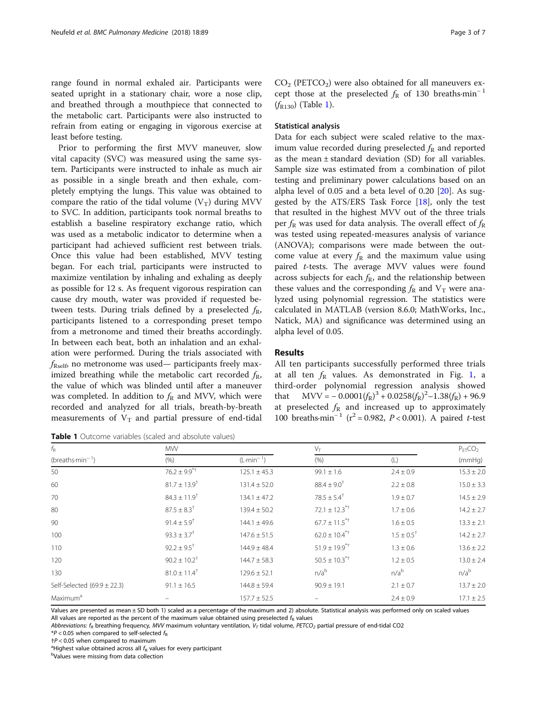<span id="page-2-0"></span>range found in normal exhaled air. Participants were seated upright in a stationary chair, wore a nose clip, and breathed through a mouthpiece that connected to the metabolic cart. Participants were also instructed to refrain from eating or engaging in vigorous exercise at least before testing.

Prior to performing the first MVV maneuver, slow vital capacity (SVC) was measured using the same system. Participants were instructed to inhale as much air as possible in a single breath and then exhale, completely emptying the lungs. This value was obtained to compare the ratio of the tidal volume  $(V_T)$  during MVV to SVC. In addition, participants took normal breaths to establish a baseline respiratory exchange ratio, which was used as a metabolic indicator to determine when a participant had achieved sufficient rest between trials. Once this value had been established, MVV testing began. For each trial, participants were instructed to maximize ventilation by inhaling and exhaling as deeply as possible for 12 s. As frequent vigorous respiration can cause dry mouth, water was provided if requested between tests. During trials defined by a preselected  $f_R$ , participants listened to a corresponding preset tempo from a metronome and timed their breaths accordingly. In between each beat, both an inhalation and an exhalation were performed. During the trials associated with  $f_{\text{Rself}}$ , no metronome was used— participants freely maximized breathing while the metabolic cart recorded  $f_R$ , the value of which was blinded until after a maneuver was completed. In addition to  $f_R$  and MVV, which were recorded and analyzed for all trials, breath-by-breath measurements of  $V_T$  and partial pressure of end-tidal

**Table 1** Outcome variables (scaled and absolute values)

 $CO<sub>2</sub>$  (PETCO<sub>2</sub>) were also obtained for all maneuvers except those at the preselected  $f<sub>R</sub>$  of 130 breaths·min<sup>-1</sup>  $(f_{R130})$  (Table 1).

# Statistical analysis

Data for each subject were scaled relative to the maximum value recorded during preselected  $f<sub>R</sub>$  and reported as the mean ± standard deviation (SD) for all variables. Sample size was estimated from a combination of pilot testing and preliminary power calculations based on an alpha level of  $0.05$  and a beta level of  $0.20$   $[20]$ . As suggested by the ATS/ERS Task Force  $[18]$  $[18]$ , only the test that resulted in the highest MVV out of the three trials per  $f_{\rm R}$  was used for data analysis. The overall effect of  $f_{\rm R}$ was tested using repeated-measures analysis of variance (ANOVA); comparisons were made between the outcome value at every  $f_R$  and the maximum value using paired t-tests. The average MVV values were found across subjects for each  $f_R$ , and the relationship between these values and the corresponding  $f_{\rm R}$  and  $V_{\rm T}$  were analyzed using polynomial regression. The statistics were calculated in MATLAB (version 8.6.0; MathWorks, Inc., Natick, MA) and significance was determined using an alpha level of 0.05.

# Results

All ten participants successfully performed three trials at all ten  $f_R$  values. As demonstrated in Fig. [1](#page-3-0), a third-order polynomial regression analysis showed that  $MVV = -0.0001(f_R)^3 + 0.0258(f_R)^2 - 1.38(f_R) + 96.9$ at preselected  $f_{\rm R}$  and increased up to approximately 100 breaths·min<sup>-1</sup> ( $r^2$  = 0.982, P < 0.001). A paired t-test

| $f_{\mathsf{R}}$<br>(breaths- $min^{-1}$ ) | <b>MW</b>                    |                  | $V_T$                         |                            | $P_{FT}CO2$      |
|--------------------------------------------|------------------------------|------------------|-------------------------------|----------------------------|------------------|
|                                            |                              |                  |                               |                            |                  |
|                                            | (% )                         | $(L·min-1)$      | (% )                          | (L)                        | (mmHq)           |
| 50                                         | $76.2 \pm 9.9^{\ast +}$      | $125.1 \pm 45.3$ | $99.1 \pm 1.6$                | $2.4 \pm 0.9$              | $15.3 \pm 2.0$   |
| 60                                         | $81.7 \pm 13.9$ <sup>†</sup> | $131.4 \pm 52.0$ | $88.4 \pm 9.0^{\dagger}$      | $2.2 \pm 0.8$              | $15.0 \pm 3.3$   |
| 70                                         | $84.3 \pm 11.9$ <sup>†</sup> | $134.1 \pm 47.2$ | $78.5 \pm 5.4$ <sup>†</sup>   | $1.9 \pm 0.7$              | $14.5 \pm 2.9$   |
| 80                                         | $87.5 \pm 8.3$ <sup>†</sup>  | $139.4 \pm 50.2$ | $72.1 \pm 12.3$ <sup>*+</sup> | $1.7 \pm 0.6$              | $14.2 \pm 2.7$   |
| 90                                         | $91.4 \pm 5.9$ <sup>†</sup>  | $144.1 \pm 49.6$ | $67.7 \pm 11.5$ <sup>*+</sup> | $1.6 \pm 0.5$              | $13.3 \pm 2.1$   |
| 100                                        | $93.3 \pm 3.7$ <sup>†</sup>  | $147.6 \pm 51.5$ | $62.0 \pm 10.4^{\ast\dagger}$ | $1.5 \pm 0.5$ <sup>†</sup> | $14.2 \pm 2.7$   |
| 110                                        | $92.2 \pm 9.5$ <sup>†</sup>  | $144.9 \pm 48.4$ | $51.9 \pm 19.9$ <sup>**</sup> | $1.3 \pm 0.6$              | $13.6 \pm 2.2$   |
| 120                                        | $90.2 \pm 10.2^{\dagger}$    | $144.7 \pm 58.3$ | $50.5 \pm 10.3$ <sup>*+</sup> | $1.2 \pm 0.5$              | $13.0 \pm 2.4$   |
| 130                                        | $81.0 \pm 11.4$ <sup>†</sup> | $129.6 \pm 52.1$ | n/a <sup>b</sup>              | n/a <sup>b</sup>           | n/a <sup>b</sup> |
| Self-Selected $(69.9 \pm 22.3)$            | $91.1 \pm 16.5$              | $144.8 \pm 59.4$ | $90.9 \pm 19.1$               | $2.1 \pm 0.7$              | $13.7 \pm 2.0$   |
| Maximum <sup>a</sup>                       |                              | $157.7 \pm 52.5$ |                               | $2.4 \pm 0.9$              | $17.1 \pm 2.5$   |

Values are presented as mean ± SD both 1) scaled as a percentage of the maximum and 2) absolute. Statistical analysis was performed only on scaled values All values are reported as the percent of the maximum value obtained using preselected  $f_R$  values

Abbreviations:  $f_R$  breathing frequency, MVV maximum voluntary ventilation,  $V_T$  tidal volume, PETCO<sub>2</sub> partial pressure of end-tidal CO2

 $*P$  < 0.05 when compared to self-selected  $f_{\rm R}$ 

 $\pm P$  < 0.05 when compared to maximum

<sup>a</sup> Highest value obtained across all  $f_R$  values for every participant

Values were missing from data collection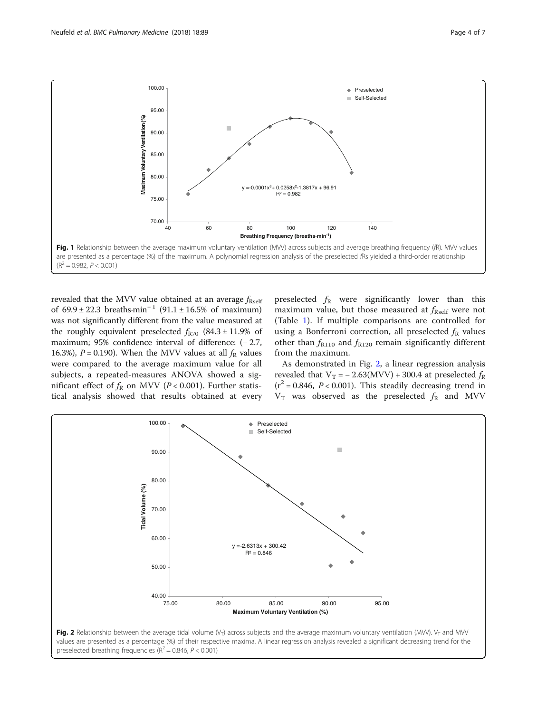<span id="page-3-0"></span>

revealed that the MVV value obtained at an average  $f_{\rm{Rself}}$ of  $69.9 \pm 22.3$  breaths·min<sup>-1</sup> (91.1 ± 16.5% of maximum) was not significantly different from the value measured at the roughly equivalent preselected  $f_{\rm R70}$  (84.3 ± 11.9% of maximum; 95% confidence interval of difference: (− 2.7, 16.3%),  $P = 0.190$ ). When the MVV values at all  $f_R$  values were compared to the average maximum value for all subjects, a repeated-measures ANOVA showed a significant effect of  $f_R$  on MVV (P < 0.001). Further statistical analysis showed that results obtained at every preselected  $f_{\rm R}$  were significantly lower than this maximum value, but those measured at  $f_{\text{Rself}}$  were not (Table [1\)](#page-2-0). If multiple comparisons are controlled for using a Bonferroni correction, all preselected  $f_R$  values other than  $f_{R110}$  and  $f_{R120}$  remain significantly different from the maximum.

As demonstrated in Fig. 2, a linear regression analysis revealed that  $V_T = -2.63(MVV) + 300.4$  at preselected  $f_R$  $(r^2 = 0.846, P < 0.001)$ . This steadily decreasing trend in  $V_T$  was observed as the preselected  $f_R$  and MVV

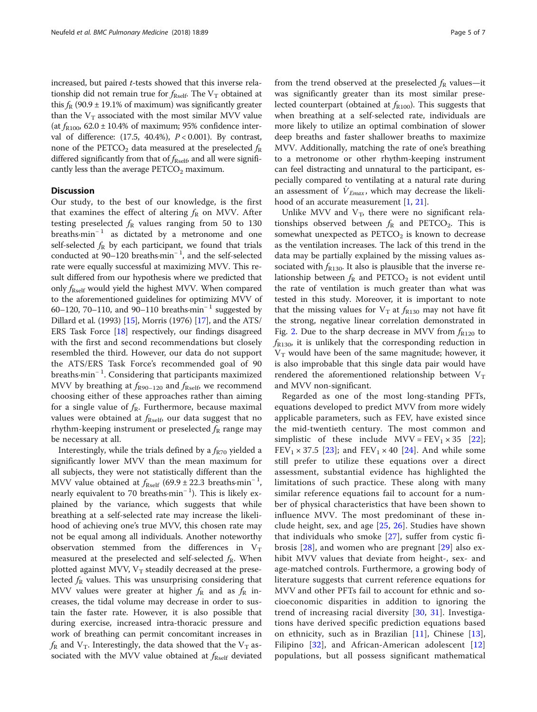increased, but paired t-tests showed that this inverse relationship did not remain true for  $f_{\text{Rself}}$ . The V<sub>T</sub> obtained at this  $f_R$  (90.9 ± 19.1% of maximum) was significantly greater than the  $V_T$  associated with the most similar MVV value (at  $f_{\text{R100}}$ , 62.0 ± 10.4% of maximum; 95% confidence interval of difference:  $(17.5, 40.4\%)$ ,  $P < 0.001$ ). By contrast, none of the PETCO<sub>2</sub> data measured at the preselected  $f_R$ differed significantly from that of  $f_{\text{Res}}$  and all were significantly less than the average  $PETCO<sub>2</sub>$  maximum.

# **Discussion**

Our study, to the best of our knowledge, is the first that examines the effect of altering  $f_R$  on MVV. After testing preselected  $f_R$  values ranging from 50 to 130 breaths $\cdot$ min<sup>-1</sup> as dictated by a metronome and one self-selected  $f_R$  by each participant, we found that trials conducted at 90–120 breaths·min<sup>−</sup> <sup>1</sup> , and the self-selected rate were equally successful at maximizing MVV. This result differed from our hypothesis where we predicted that only  $f_{\text{Rself}}$  would yield the highest MVV. When compared to the aforementioned guidelines for optimizing MVV of 60–120, 70–110, and 90–110 breaths $\cdot$ min<sup>-1</sup> suggested by Dillard et al. (1993) [\[15\]](#page-6-0), Morris (1976) [[17\]](#page-6-0), and the ATS/ ERS Task Force [\[18](#page-6-0)] respectively, our findings disagreed with the first and second recommendations but closely resembled the third. However, our data do not support the ATS/ERS Task Force's recommended goal of 90 breaths·min<sup>−</sup> <sup>1</sup> . Considering that participants maximized MVV by breathing at  $f_{R90-120}$  and  $f_{Rself}$ , we recommend choosing either of these approaches rather than aiming for a single value of  $f_R$ . Furthermore, because maximal values were obtained at  $f_{\text{Rself}}$ , our data suggest that no rhythm-keeping instrument or preselected  $f_{\rm R}$  range may be necessary at all.

Interestingly, while the trials defined by a  $f_{R70}$  yielded a significantly lower MVV than the mean maximum for all subjects, they were not statistically different than the MVV value obtained at  $f_{\text{Rself}}$  (69.9 ± 22.3 breaths·min<sup>-1</sup>, nearly equivalent to 70 breaths·min<sup>-1</sup>). This is likely explained by the variance, which suggests that while breathing at a self-selected rate may increase the likelihood of achieving one's true MVV, this chosen rate may not be equal among all individuals. Another noteworthy observation stemmed from the differences in  $V_T$ measured at the preselected and self-selected  $f_{\rm R}$ . When plotted against MVV,  $V_T$  steadily decreased at the preselected  $f_{\rm R}$  values. This was unsurprising considering that MVV values were greater at higher  $f_{\rm R}$  and as  $f_{\rm R}$  increases, the tidal volume may decrease in order to sustain the faster rate. However, it is also possible that during exercise, increased intra-thoracic pressure and work of breathing can permit concomitant increases in  $f_{\rm R}$  and  $\rm V_T$ . Interestingly, the data showed that the  $\rm V_T$  associated with the MVV value obtained at  $f_{\text{Rself}}$  deviated from the trend observed at the preselected  $f_R$  values—it was significantly greater than its most similar preselected counterpart (obtained at  $f_{R100}$ ). This suggests that when breathing at a self-selected rate, individuals are more likely to utilize an optimal combination of slower deep breaths and faster shallower breaths to maximize MVV. Additionally, matching the rate of one's breathing to a metronome or other rhythm-keeping instrument can feel distracting and unnatural to the participant, especially compared to ventilating at a natural rate during an assessment of  $\dot{V}_{Emax}$ , which may decrease the likelihood of an accurate measurement [[1,](#page-5-0) [21\]](#page-6-0).

Unlike MVV and  $V_T$ , there were no significant relationships observed between  $f_R$  and PETCO<sub>2</sub>. This is somewhat unexpected as  $PETCO<sub>2</sub>$  is known to decrease as the ventilation increases. The lack of this trend in the data may be partially explained by the missing values associated with  $f_{R130}$ . It also is plausible that the inverse relationship between  $f_R$  and PETCO<sub>2</sub> is not evident until the rate of ventilation is much greater than what was tested in this study. Moreover, it is important to note that the missing values for  $V_T$  at  $f_{R130}$  may not have fit the strong, negative linear correlation demonstrated in Fig. [2.](#page-3-0) Due to the sharp decrease in MVV from  $f_{R120}$  to  $f_{R130}$ , it is unlikely that the corresponding reduction in  $V_T$  would have been of the same magnitude; however, it is also improbable that this single data pair would have rendered the aforementioned relationship between  $V_T$ and MVV non-significant.

Regarded as one of the most long-standing PFTs, equations developed to predict MVV from more widely applicable parameters, such as FEV, have existed since the mid-twentieth century. The most common and simplistic of these include  $MVV = FEV_1 \times 35$  [[22](#page-6-0)];  $FEV<sub>1</sub> \times 37.5$  [[23\]](#page-6-0); and  $FEV<sub>1</sub> \times 40$  [[24\]](#page-6-0). And while some still prefer to utilize these equations over a direct assessment, substantial evidence has highlighted the limitations of such practice. These along with many similar reference equations fail to account for a number of physical characteristics that have been shown to influence MVV. The most predominant of these include height, sex, and age [[25,](#page-6-0) [26\]](#page-6-0). Studies have shown that individuals who smoke [\[27\]](#page-6-0), suffer from cystic fibrosis [\[28](#page-6-0)], and women who are pregnant [[29](#page-6-0)] also exhibit MVV values that deviate from height-, sex- and age-matched controls. Furthermore, a growing body of literature suggests that current reference equations for MVV and other PFTs fail to account for ethnic and socioeconomic disparities in addition to ignoring the trend of increasing racial diversity [[30](#page-6-0), [31\]](#page-6-0). Investigations have derived specific prediction equations based on ethnicity, such as in Brazilian [[11\]](#page-5-0), Chinese [[13](#page-5-0)], Filipino  $[32]$  $[32]$ , and African-American adolescent  $[12]$  $[12]$ populations, but all possess significant mathematical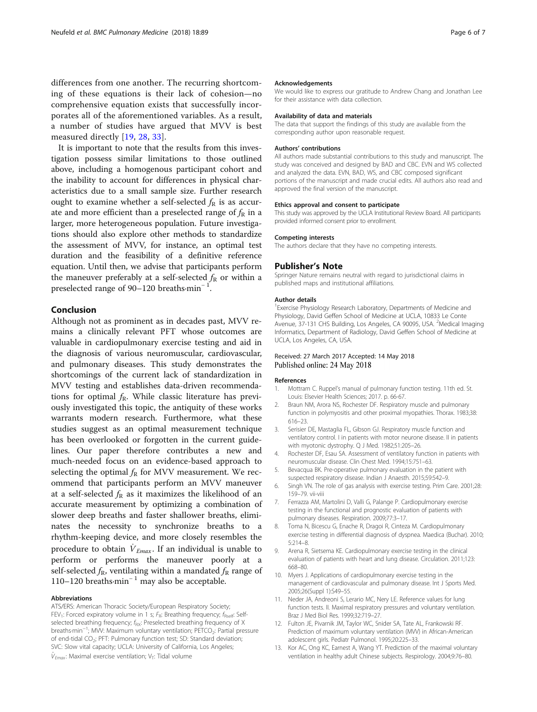<span id="page-5-0"></span>measured directly [\[19](#page-6-0), [28,](#page-6-0) [33](#page-6-0)]. It is important to note that the results from this investigation possess similar limitations to those outlined above, including a homogenous participant cohort and the inability to account for differences in physical characteristics due to a small sample size. Further research ought to examine whether a self-selected  $f_R$  is as accurate and more efficient than a preselected range of  $f_R$  in a larger, more heterogeneous population. Future investigations should also explore other methods to standardize the assessment of MVV, for instance, an optimal test duration and the feasibility of a definitive reference equation. Until then, we advise that participants perform the maneuver preferably at a self-selected  $f_R$  or within a preselected range of 90–120 breaths·min<sup>-1</sup>.

# Conclusion

Although not as prominent as in decades past, MVV remains a clinically relevant PFT whose outcomes are valuable in cardiopulmonary exercise testing and aid in the diagnosis of various neuromuscular, cardiovascular, and pulmonary diseases. This study demonstrates the shortcomings of the current lack of standardization in MVV testing and establishes data-driven recommendations for optimal  $f_R$ . While classic literature has previously investigated this topic, the antiquity of these works warrants modern research. Furthermore, what these studies suggest as an optimal measurement technique has been overlooked or forgotten in the current guidelines. Our paper therefore contributes a new and much-needed focus on an evidence-based approach to selecting the optimal  $f_R$  for MVV measurement. We recommend that participants perform an MVV maneuver at a self-selected  $f_{\rm R}$  as it maximizes the likelihood of an accurate measurement by optimizing a combination of slower deep breaths and faster shallower breaths, eliminates the necessity to synchronize breaths to a rhythm-keeping device, and more closely resembles the procedure to obtain  $\dot{V}_{Emax}$ . If an individual is unable to perform or performs the maneuver poorly at a self-selected  $f_R$ , ventilating within a mandated  $f_R$  range of 110–120 breaths·min<sup>−</sup> <sup>1</sup> may also be acceptable.

## Abbreviations

ATS/ERS: American Thoracic Society/European Respiratory Society; FEV<sub>1</sub>: Forced expiratory volume in 1 s;  $F_R$ : Breathing frequency;  $f_{Rself}$ : Selfselected breathing frequency;  $f_{RX}$ : Preselected breathing frequency of X breaths·min<sup>-1</sup>; MW: Maximum voluntary ventilation; PETCO<sub>2</sub>: Partial pressure of end-tidal CO<sub>2</sub>; PFT: Pulmonary function test; SD: Standard deviation; SVC: Slow vital capacity; UCLA: University of California, Los Angeles;  $V_{Emax}$ : Maximal exercise ventilation; V<sub>T</sub>: Tidal volume

#### Acknowledgements

We would like to express our gratitude to Andrew Chang and Jonathan Lee for their assistance with data collection.

#### Availability of data and materials

The data that support the findings of this study are available from the corresponding author upon reasonable request.

#### Authors' contributions

All authors made substantial contributions to this study and manuscript. The study was conceived and designed by BAD and CBC. EVN and WS collected and analyzed the data. EVN, BAD, WS, and CBC composed significant portions of the manuscript and made crucial edits. All authors also read and approved the final version of the manuscript.

#### Ethics approval and consent to participate

This study was approved by the UCLA Institutional Review Board. All participants provided informed consent prior to enrollment.

#### Competing interests

The authors declare that they have no competing interests.

#### Publisher's Note

Springer Nature remains neutral with regard to jurisdictional claims in published maps and institutional affiliations.

#### Author details

<sup>1</sup> Exercise Physiology Research Laboratory, Departments of Medicine and Physiology, David Geffen School of Medicine at UCLA, 10833 Le Conte Avenue, 37-131 CHS Building, Los Angeles, CA 90095, USA. <sup>2</sup>Medical Imaging Informatics, Department of Radiology, David Geffen School of Medicine at UCLA, Los Angeles, CA, USA.

## Received: 27 March 2017 Accepted: 14 May 2018 Published online: 24 May 2018

#### References

- Mottram C. Ruppel's manual of pulmonary function testing. 11th ed. St. Louis: Elsevier Health Sciences; 2017. p. 66-67.
- 2. Braun NM, Arora NS, Rochester DF. Respiratory muscle and pulmonary function in polymyositis and other proximal myopathies. Thorax. 1983;38: 616–23.
- 3. Serisier DE, Mastaglia FL, Gibson GJ. Respiratory muscle function and ventilatory control. I in patients with motor neurone disease. II in patients with myotonic dystrophy. Q J Med. 1982;51:205–26.
- 4. Rochester DF, Esau SA. Assessment of ventilatory function in patients with neuromuscular disease. Clin Chest Med. 1994;15:751–63.
- 5. Bevacqua BK. Pre-operative pulmonary evaluation in the patient with suspected respiratory disease. Indian J Anaesth. 2015;59:542–9.
- 6. Singh VN. The role of gas analysis with exercise testing. Prim Care. 2001;28: 159–79. vii-viii
- 7. Ferrazza AM, Martolini D, Valli G, Palange P. Cardiopulmonary exercise testing in the functional and prognostic evaluation of patients with pulmonary diseases. Respiration. 2009;77:3–17.
- Toma N, Bicescu G, Enache R, Dragoi R, Cinteza M. Cardiopulmonary exercise testing in differential diagnosis of dyspnea. Maedica (Buchar). 2010; 5:214–8.
- 9. Arena R, Sietsema KE. Cardiopulmonary exercise testing in the clinical evaluation of patients with heart and lung disease. Circulation. 2011;123: 668–80.
- 10. Myers J. Applications of cardiopulmonary exercise testing in the management of cardiovascular and pulmonary disease. Int J Sports Med. 2005;26(Suppl 1):S49–55.
- 11. Neder JA, Andreoni S, Lerario MC, Nery LE. Reference values for lung function tests. II. Maximal respiratory pressures and voluntary ventilation. Braz J Med Biol Res. 1999;32:719–27.
- 12. Fulton JE, Pivarnik JM, Taylor WC, Snider SA, Tate AL, Frankowski RF. Prediction of maximum voluntary ventilation (MVV) in African-American adolescent girls. Pediatr Pulmonol. 1995;20:225–33.
- 13. Kor AC, Ong KC, Earnest A, Wang YT. Prediction of the maximal voluntary ventilation in healthy adult Chinese subjects. Respirology. 2004;9:76–80.